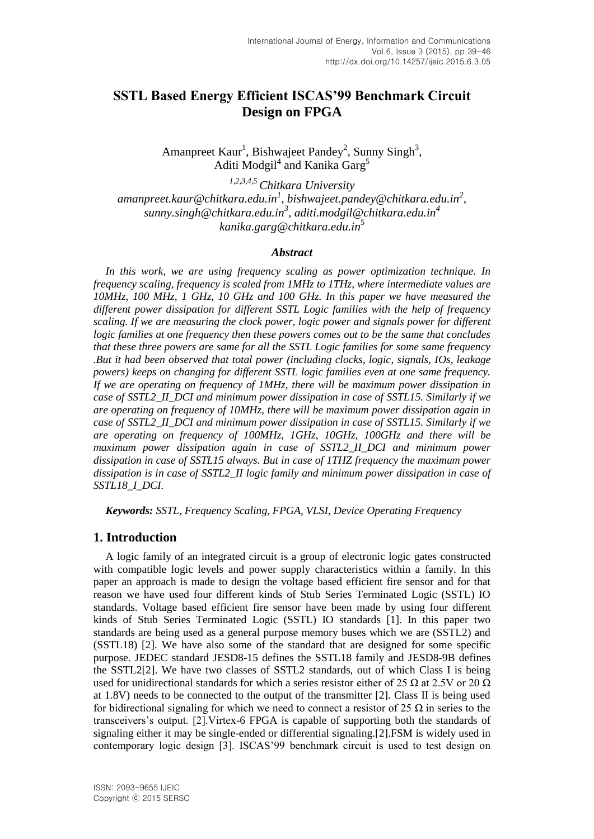# **SSTL Based Energy Efficient ISCAS'99 Benchmark Circuit Design on FPGA**

Amanpreet Kaur<sup>1</sup>, Bishwajeet Pandey<sup>2</sup>, Sunny Singh<sup>3</sup>, Aditi Modgil<sup>4</sup> and Kanika Garg<sup>5</sup>

*1,2,3,4,5 Chitkara University amanpreet.kaur@chitkara.edu.in<sup>1</sup> , bishwajeet.pandey@chitkara.edu.in<sup>2</sup> , sunny.singh@chitkara.edu.in<sup>3</sup> , aditi.modgil@chitkara.edu.in<sup>4</sup> kanika.garg@chitkara.edu.in*<sup>5</sup>

#### *Abstract*

*In this work, we are using frequency scaling as power optimization technique. In frequency scaling, frequency is scaled from 1MHz to 1THz, where intermediate values are 10MHz, 100 MHz, 1 GHz, 10 GHz and 100 GHz. In this paper we have measured the different power dissipation for different SSTL Logic families with the help of frequency scaling. If we are measuring the clock power, logic power and signals power for different logic families at one frequency then these powers comes out to be the same that concludes that these three powers are same for all the SSTL Logic families for some same frequency .But it had been observed that total power (including clocks, logic, signals, IOs, leakage powers) keeps on changing for different SSTL logic families even at one same frequency. If we are operating on frequency of 1MHz, there will be maximum power dissipation in case of SSTL2\_II\_DCI and minimum power dissipation in case of SSTL15. Similarly if we are operating on frequency of 10MHz, there will be maximum power dissipation again in case of SSTL2\_II\_DCI and minimum power dissipation in case of SSTL15. Similarly if we are operating on frequency of 100MHz, 1GHz, 10GHz, 100GHz and there will be maximum power dissipation again in case of SSTL2\_II\_DCI and minimum power dissipation in case of SSTL15 always. But in case of 1THZ frequency the maximum power*  dissipation is in case of SSTL2\_II logic family and minimum power dissipation in case of *SSTL18\_I\_DCI.*

*Keywords: SSTL, Frequency Scaling, FPGA, VLSI, Device Operating Frequency*

#### **1. Introduction**

A logic family of an [integrated circuit](http://en.wikipedia.org/wiki/Integrated_circuit) is a group of electronic [logic gates](http://en.wikipedia.org/wiki/Logic_gate) constructed with compatible [logic levels](http://en.wikipedia.org/wiki/Logic_level) and power supply characteristics within a family. In this paper an approach is made to design the voltage based efficient fire sensor and for that reason we have used four different kinds of Stub Series Terminated Logic (SSTL) IO standards. Voltage based efficient fire sensor have been made by using four different kinds of Stub Series Terminated Logic (SSTL) IO standards [1]. In this paper two standards are being used as a general purpose memory buses which we are (SSTL2) and (SSTL18) [2]. We have also some of the standard that are designed for some specific purpose. JEDEC standard JESD8-15 defines the SSTL18 family and JESD8-9B defines the SSTL2[2]. We have two classes of SSTL2 standards, out of which Class I is being used for unidirectional standards for which a series resistor either of 25  $\Omega$  at 2.5V or 20  $\Omega$ at  $1.8V$ ) needs to be connected to the output of the transmitter [2]. Class II is being used for bidirectional signaling for which we need to connect a resistor of 25  $\Omega$  in series to the transceivers's output. [2].Virtex-6 FPGA is capable of supporting both the standards of signaling either it may be single-ended or differential signaling.[2].FSM is widely used in contemporary logic design [3]. ISCAS'99 benchmark circuit is used to test design on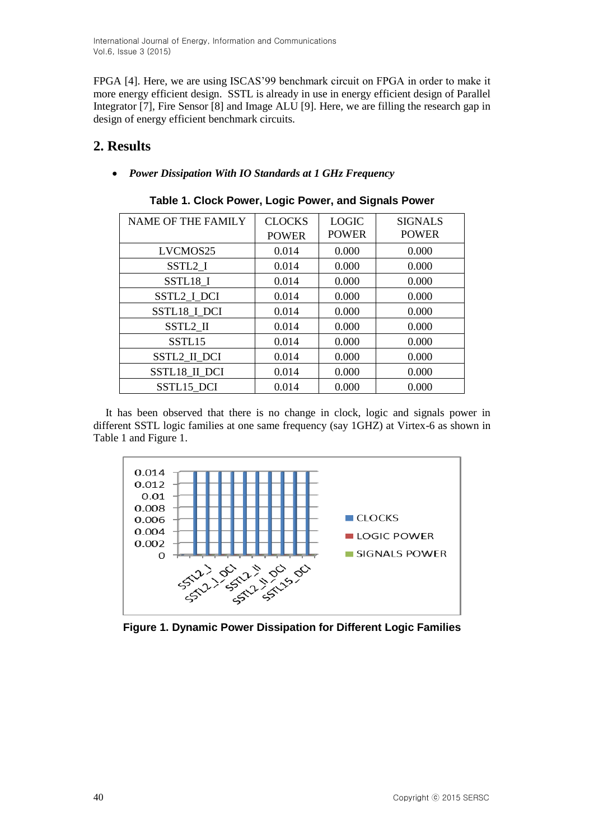International Journal of Energy, Information and Communications Vol.6, Issue 3 (2015)

FPGA [4]. Here, we are using ISCAS'99 benchmark circuit on FPGA in order to make it more energy efficient design. SSTL is already in use in energy efficient design of Parallel Integrator [7], Fire Sensor [8] and Image ALU [9]. Here, we are filling the research gap in design of energy efficient benchmark circuits.

# **2. Results**

*Power Dissipation With IO Standards at 1 GHz Frequency*

| <b>NAME OF THE FAMILY</b> | <b>CLOCKS</b><br><b>POWER</b> | <b>LOGIC</b><br><b>POWER</b> | <b>SIGNALS</b><br><b>POWER</b> |
|---------------------------|-------------------------------|------------------------------|--------------------------------|
|                           |                               |                              |                                |
| LVCMOS25                  | 0.014                         | 0.000                        | 0.000                          |
| SSTL <sub>2_I</sub>       | 0.014                         | 0.000                        | 0.000                          |
| SSTL18_I                  | 0.014                         | 0.000                        | 0.000                          |
| SSTL2_I_DCI               | 0.014                         | 0.000                        | 0.000                          |
| SSTL18_I_DCI              | 0.014                         | 0.000                        | 0.000                          |
| SSTL2 II                  | 0.014                         | 0.000                        | 0.000                          |
| SSTL <sub>15</sub>        | 0.014                         | 0.000                        | 0.000                          |
| <b>SSTL2 II DCI</b>       | 0.014                         | 0.000                        | 0.000                          |
| SSTL18_II_DCI             | 0.014                         | 0.000                        | 0.000                          |
| SSTL15 DCI                | 0.014                         | 0.000                        | 0.000                          |

### **Table 1. Clock Power, Logic Power, and Signals Power**

It has been observed that there is no change in clock, logic and signals power in different SSTL logic families at one same frequency (say 1GHZ) at Virtex-6 as shown in Table 1 and Figure 1.



**Figure 1. Dynamic Power Dissipation for Different Logic Families**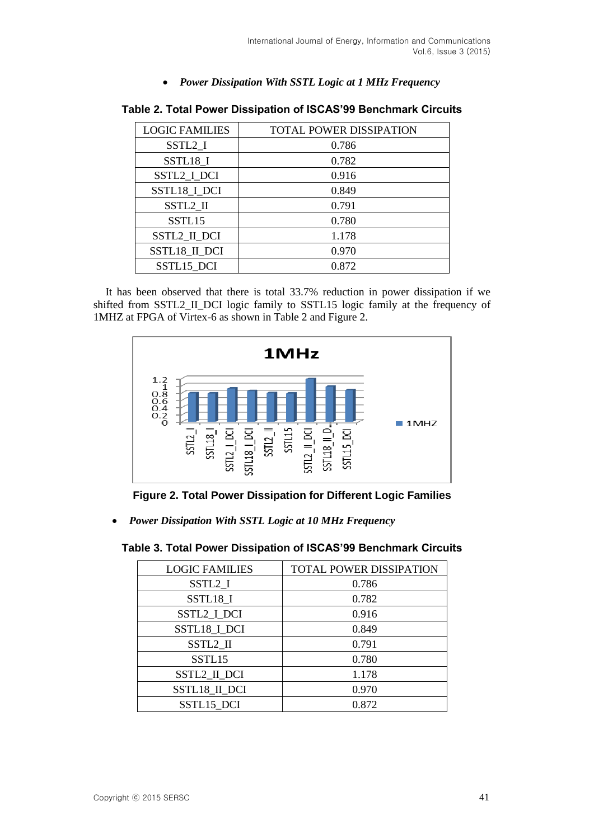*Power Dissipation With SSTL Logic at 1 MHz Frequency*

| <b>LOGIC FAMILIES</b> | <b>TOTAL POWER DISSIPATION</b> |
|-----------------------|--------------------------------|
| SSTL <sub>2_I</sub>   | 0.786                          |
| SSTL18_I              | 0.782                          |
| SSTL2_I_DCI           | 0.916                          |
| SSTL18_I_DCI          | 0.849                          |
| SSTL2 II              | 0.791                          |
| SSTL15                | 0.780                          |
| <b>SSTL2 II DCI</b>   | 1.178                          |
| SSTL18_II_DCI         | 0.970                          |
| SSTL15 DCI            | 0.872                          |

**Table 2. Total Power Dissipation of ISCAS'99 Benchmark Circuits**

It has been observed that there is total 33.7% reduction in power dissipation if we shifted from SSTL2\_II\_DCI logic family to SSTL15 logic family at the frequency of 1MHZ at FPGA of Virtex-6 as shown in Table 2 and Figure 2.



**Figure 2. Total Power Dissipation for Different Logic Families**

*Power Dissipation With SSTL Logic at 10 MHz Frequency*

| Table 3. Total Power Dissipation of ISCAS'99 Benchmark Circuits |  |  |  |  |
|-----------------------------------------------------------------|--|--|--|--|
|-----------------------------------------------------------------|--|--|--|--|

| <b>LOGIC FAMILIES</b> | <b>TOTAL POWER DISSIPATION</b> |
|-----------------------|--------------------------------|
| SSTL <sub>2_I</sub>   | 0.786                          |
| SSTL18_I              | 0.782                          |
| SSTL2_I_DCI           | 0.916                          |
| SSTL18_I_DCI          | 0.849                          |
| SSTL2 II              | 0.791                          |
| SSTL15                | 0.780                          |
| SSTL2_II_DCI          | 1.178                          |
| SSTL18_II_DCI         | 0.970                          |
| SSTL15 DCI            | 0.872                          |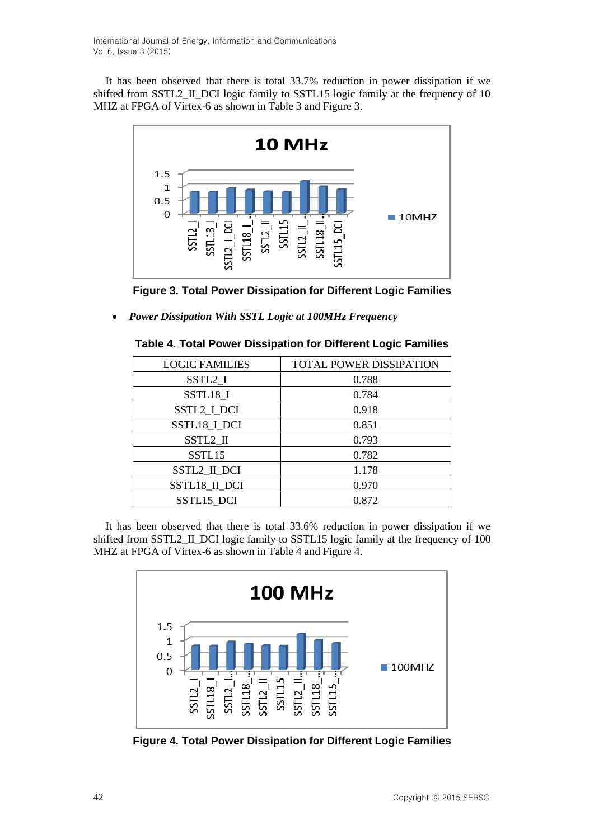It has been observed that there is total 33.7% reduction in power dissipation if we shifted from SSTL2\_II\_DCI logic family to SSTL15 logic family at the frequency of 10 MHZ at FPGA of Virtex-6 as shown in Table 3 and Figure 3.



**Figure 3. Total Power Dissipation for Different Logic Families**

*Power Dissipation With SSTL Logic at 100MHz Frequency*

| <b>TOTAL POWER DISSIPATION</b> |
|--------------------------------|
| 0.788                          |
| 0.784                          |
| 0.918                          |
| 0.851                          |
| 0.793                          |
| 0.782                          |
| 1.178                          |
| 0.970                          |
| 0.872                          |
|                                |

|  | Table 4. Total Power Dissipation for Different Logic Families |  |  |
|--|---------------------------------------------------------------|--|--|
|  |                                                               |  |  |

It has been observed that there is total 33.6% reduction in power dissipation if we shifted from SSTL2\_II\_DCI logic family to SSTL15 logic family at the frequency of 100 MHZ at FPGA of Virtex-6 as shown in Table 4 and Figure 4.



**Figure 4. Total Power Dissipation for Different Logic Families**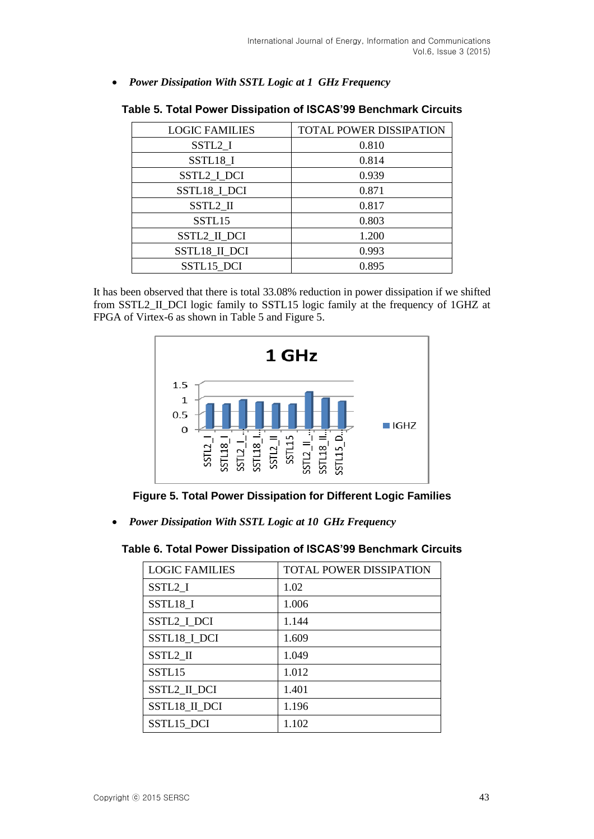*Power Dissipation With SSTL Logic at 1 GHz Frequency*

| <b>LOGIC FAMILIES</b> | <b>TOTAL POWER DISSIPATION</b> |
|-----------------------|--------------------------------|
| SSTL <sub>2_I</sub>   | 0.810                          |
| SSTL18_I              | 0.814                          |
| SSTL2_I_DCI           | 0.939                          |
| SSTL18_I_DCI          | 0.871                          |
| SSTL2 II              | 0.817                          |
| SSTL15                | 0.803                          |
| SSTL2_II_DCI          | 1.200                          |
| <b>SSTL18 II DCI</b>  | 0.993                          |
| SSTL15 DCI            | 0.895                          |

| Table 5. Total Power Dissipation of ISCAS'99 Benchmark Circuits |  |  |  |
|-----------------------------------------------------------------|--|--|--|
|-----------------------------------------------------------------|--|--|--|

It has been observed that there is total 33.08% reduction in power dissipation if we shifted from SSTL2\_II\_DCI logic family to SSTL15 logic family at the frequency of 1GHZ at FPGA of Virtex-6 as shown in Table 5 and Figure 5.



**Figure 5. Total Power Dissipation for Different Logic Families**

*Power Dissipation With SSTL Logic at 10 GHz Frequency*

### **Table 6. Total Power Dissipation of ISCAS'99 Benchmark Circuits**

| <b>LOGIC FAMILIES</b> | <b>TOTAL POWER DISSIPATION</b> |
|-----------------------|--------------------------------|
| SSTL2 I               | 1.02                           |
| SSTL18 I              | 1.006                          |
| SSTL2 I DCI           | 1.144                          |
| SSTL18_I_DCI          | 1.609                          |
| SSTL2 II              | 1.049                          |
| SSTL <sub>15</sub>    | 1.012                          |
| <b>SSTL2 II DCI</b>   | 1.401                          |
| <b>SSTL18 II DCI</b>  | 1.196                          |
| SSTL15 DCI            | 1.102                          |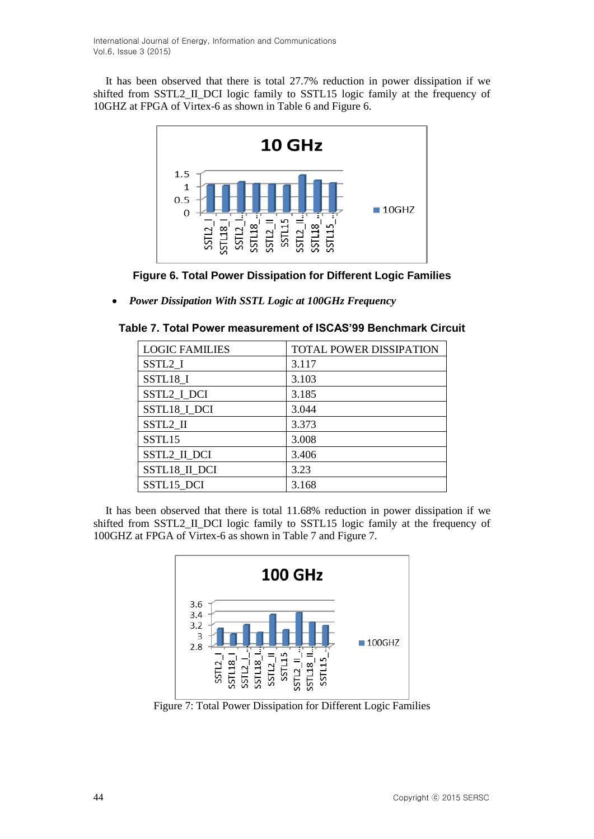It has been observed that there is total 27.7% reduction in power dissipation if we shifted from SSTL2\_II\_DCI logic family to SSTL15 logic family at the frequency of 10GHZ at FPGA of Virtex-6 as shown in Table 6 and Figure 6.





*Power Dissipation With SSTL Logic at 100GHz Frequency*

| Table 7. Total Power measurement of ISCAS'99 Benchmark Circuit |  |
|----------------------------------------------------------------|--|
|----------------------------------------------------------------|--|

| <b>TOTAL POWER DISSIPATION</b> |
|--------------------------------|
| 3.117                          |
| 3.103                          |
| 3.185                          |
| 3.044                          |
| 3.373                          |
| 3.008                          |
| 3.406                          |
| 3.23                           |
| 3.168                          |
|                                |

It has been observed that there is total 11.68% reduction in power dissipation if we shifted from SSTL2\_II\_DCI logic family to SSTL15 logic family at the frequency of 100GHZ at FPGA of Virtex-6 as shown in Table 7 and Figure 7.



Figure 7: Total Power Dissipation for Different Logic Families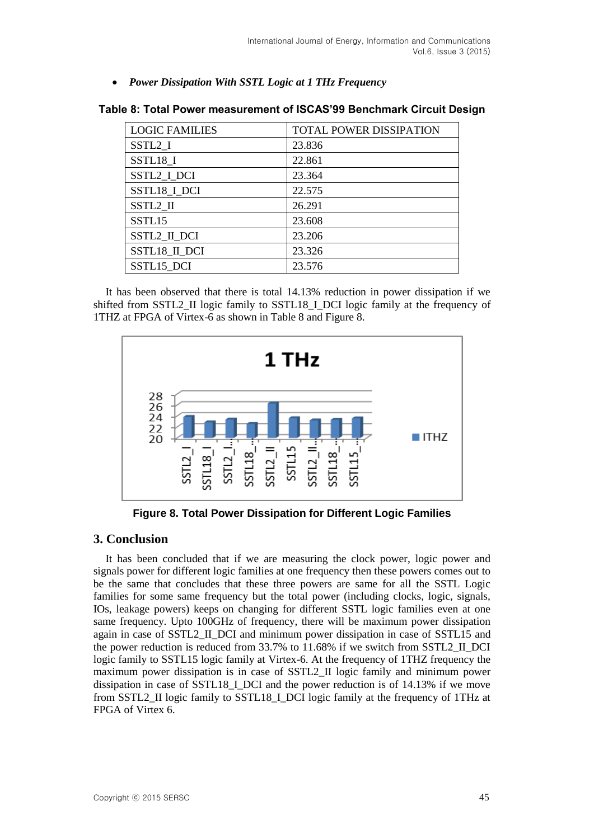*Power Dissipation With SSTL Logic at 1 THz Frequency*

| <b>LOGIC FAMILIES</b> | <b>TOTAL POWER DISSIPATION</b> |
|-----------------------|--------------------------------|
| SSTL <sub>2</sub>     | 23.836                         |
| SSTL18_I              | 22.861                         |
| SSTL2 I DCI           | 23.364                         |
| SSTL18_I_DCI          | 22.575                         |
| SSTL2 II              | 26.291                         |
| SSTL15                | 23.608                         |
| SSTL2_II_DCI          | 23.206                         |
| SSTL18_II_DCI         | 23.326                         |
| SSTL15 DCI            | 23.576                         |

**Table 8: Total Power measurement of ISCAS'99 Benchmark Circuit Design**

It has been observed that there is total 14.13% reduction in power dissipation if we shifted from SSTL2\_II logic family to SSTL18\_I\_DCI logic family at the frequency of 1THZ at FPGA of Virtex-6 as shown in Table 8 and Figure 8.



**Figure 8. Total Power Dissipation for Different Logic Families**

## **3. Conclusion**

It has been concluded that if we are measuring the clock power, logic power and signals power for different logic families at one frequency then these powers comes out to be the same that concludes that these three powers are same for all the SSTL Logic families for some same frequency but the total power (including clocks, logic, signals, IOs, leakage powers) keeps on changing for different SSTL logic families even at one same frequency. Upto 100GHz of frequency, there will be maximum power dissipation again in case of SSTL2\_II\_DCI and minimum power dissipation in case of SSTL15 and the power reduction is reduced from 33.7% to 11.68% if we switch from SSTL2\_II\_DCI logic family to SSTL15 logic family at Virtex-6. At the frequency of 1THZ frequency the maximum power dissipation is in case of SSTL2\_II logic family and minimum power dissipation in case of SSTL18\_I\_DCI and the power reduction is of 14.13% if we move from SSTL2\_II logic family to SSTL18\_I\_DCI logic family at the frequency of 1THz at FPGA of Virtex 6.